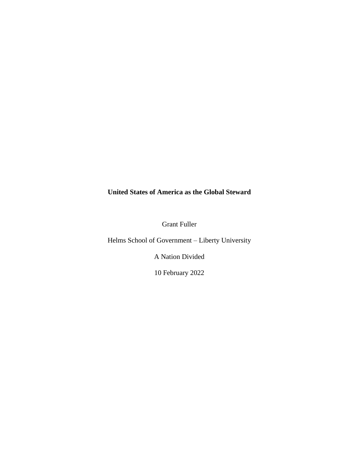# **United States of America as the Global Steward**

Grant Fuller

Helms School of Government – Liberty University

A Nation Divided

10 February 2022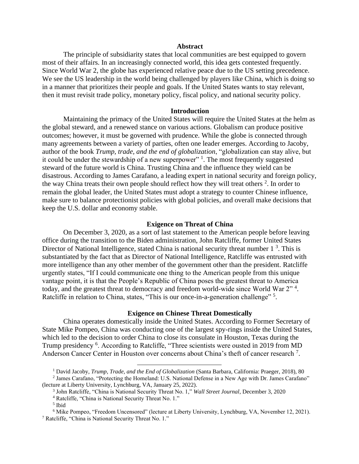## **Abstract**

The principle of subsidiarity states that local communities are best equipped to govern most of their affairs. In an increasingly connected world, this idea gets contested frequently. Since World War 2, the globe has experienced relative peace due to the US setting precedence. We see the US leadership in the world being challenged by players like China, which is doing so in a manner that prioritizes their people and goals. If the United States wants to stay relevant, then it must revisit trade policy, monetary policy, fiscal policy, and national security policy.

## **Introduction**

Maintaining the primacy of the United States will require the United States at the helm as the global steward, and a renewed stance on various actions. Globalism can produce positive outcomes; however, it must be governed with prudence. While the globe is connected through many agreements between a variety of parties, often one leader emerges. According to Jacoby, author of the book *Trump, trade, and the end of globalization*, "globalization can stay alive, but it could be under the stewardship of a new superpower"  $\frac{1}{1}$ . The most frequently suggested steward of the future world is China. Trusting China and the influence they wield can be disastrous. According to James Carafano, a leading expert in national security and foreign policy, the way China treats their own people should reflect how they will treat others  $2$ . In order to remain the global leader, the United States must adopt a strategy to counter Chinese influence, make sure to balance protectionist policies with global policies, and overall make decisions that keep the U.S. dollar and economy stable.

#### **Exigence on Threat of China**

On December 3, 2020, as a sort of last statement to the American people before leaving office during the transition to the Biden administration, John Ratcliffe, former United States Director of National Intelligence, stated China is national security threat number  $1<sup>3</sup>$ . This is substantiated by the fact that as Director of National Intelligence, Ratcliffe was entrusted with more intelligence than any other member of the government other than the president. Ratcliffe urgently states, "If I could communicate one thing to the American people from this unique vantage point, it is that the People's Republic of China poses the greatest threat to America today, and the greatest threat to democracy and freedom world-wide since World War 2"<sup>4</sup>. Ratcliffe in relation to China, states, "This is our once-in-a-generation challenge"<sup>5</sup>.

## **Exigence on Chinese Threat Domestically**

China operates domestically inside the United States. According to Former Secretary of State Mike Pompeo, China was conducting one of the largest spy-rings inside the United States, which led to the decision to order China to close its consulate in Houston, Texas during the Trump presidency <sup>6</sup>. According to Ratcliffe, "Three scientists were ousted in 2019 from MD Anderson Cancer Center in Houston over concerns about China's theft of cancer research<sup>7</sup>.

<sup>1</sup> David Jacoby, *Trump, Trade, and the End of Globalization* (Santa Barbara, California: Praeger, 2018), 80

<sup>2</sup> James Carafano, "Protecting the Homeland: U.S. National Defense in a New Age with Dr. James Carafano" (lecture at Liberty University, Lynchburg, VA, January 25, 2022).

<sup>3</sup> John Ratcliffe, "China is National Security Threat No. 1," *Wall Street Journal*, December 3, 2020

<sup>4</sup> Ratcliffe, "China is National Security Threat No. 1."

<sup>5</sup> Ibid

<sup>6</sup> Mike Pompeo, "Freedom Uncensored" (lecture at Liberty University, Lynchburg, VA, November 12, 2021). <sup>7</sup> Ratcliffe, "China is National Security Threat No. 1."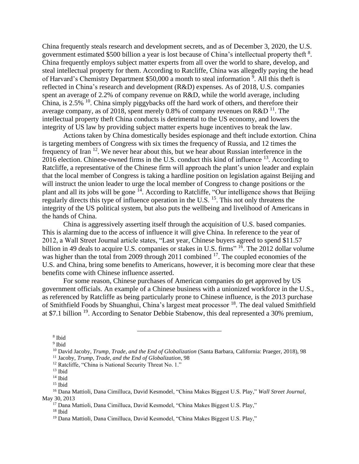China frequently steals research and development secrets, and as of December 3, 2020, the U.S. government estimated \$500 billion a year is lost because of China's intellectual property theft  $8$ . China frequently employs subject matter experts from all over the world to share, develop, and steal intellectual property for them. According to Ratcliffe, China was allegedly paying the head of Harvard's Chemistry Department \$50,000 a month to steal information <sup>9</sup>. All this theft is reflected in China's research and development (R&D) expenses. As of 2018, U.S. companies spent an average of 2.2% of company revenue on R&D, while the world average, including China, is  $2.5\%$  <sup>10</sup>. China simply piggybacks off the hard work of others, and therefore their average company, as of 2018, spent merely 0.8% of company revenues on R&D  $^{11}$ . The intellectual property theft China conducts is detrimental to the US economy, and lowers the integrity of US law by providing subject matter experts huge incentives to break the law.

Actions taken by China domestically besides espionage and theft include extortion. China is targeting members of Congress with six times the frequency of Russia, and 12 times the frequency of Iran <sup>12</sup>. We never hear about this, but we hear about Russian interference in the 2016 election. Chinese-owned firms in the U.S. conduct this kind of influence <sup>13</sup>. According to Ratcliffe, a representative of the Chinese firm will approach the plant's union leader and explain that the local member of Congress is taking a hardline position on legislation against Beijing and will instruct the union leader to urge the local member of Congress to change positions or the plant and all its jobs will be gone <sup>14</sup>. According to Ratcliffe, "Our intelligence shows that Beijing regularly directs this type of influence operation in the U.S. <sup>15</sup>. This not only threatens the integrity of the US political system, but also puts the wellbeing and livelihood of Americans in the hands of China.

China is aggressively asserting itself through the acquisition of U.S. based companies. This is alarming due to the access of influence it will give China. In reference to the year of 2012, a Wall Street Journal article states, "Last year, Chinese buyers agreed to spend \$11.57 billion in 49 deals to acquire U.S. companies or stakes in U.S. firms" <sup>16</sup>. The 2012 dollar volume was higher than the total from 2009 through 2011 combined <sup>17</sup>. The coupled economies of the U.S. and China, bring some benefits to Americans, however, it is becoming more clear that these benefits come with Chinese influence asserted.

For some reason, Chinese purchases of American companies do get approved by US government officials. An example of a Chinese business with a unionized workforce in the U.S., as referenced by Ratcliffe as being particularly prone to Chinese influence, is the 2013 purchase of Smithfield Foods by Shuanghui, China's largest meat processor <sup>18</sup>. The deal valued Smithfield at \$7.1 billion <sup>19</sup>. According to Senator Debbie Stabenow, this deal represented a 30% premium,

<sup>8</sup> Ibid

<sup>&</sup>lt;sup>9</sup> Ibid

<sup>10</sup> David Jacoby, *Trump, Trade, and the End of Globalization* (Santa Barbara, California: Praeger, 2018), 98 <sup>11</sup> Jacoby, *Trump, Trade, and the End of Globalization*, 98

<sup>&</sup>lt;sup>12</sup> Ratcliffe, "China is National Security Threat No. 1."

 $13$  Ibid

 $14$  Ibid

 $15$  Ibid

<sup>16</sup> Dana Mattioli, Dana Cimilluca, David Kesmodel, "China Makes Biggest U.S. Play," *Wall Street Journal*, May 30, 2013

<sup>17</sup> Dana Mattioli, Dana Cimilluca, David Kesmodel, "China Makes Biggest U.S. Play,"

 $18$  Ibid

<sup>19</sup> Dana Mattioli, Dana Cimilluca, David Kesmodel, "China Makes Biggest U.S. Play,"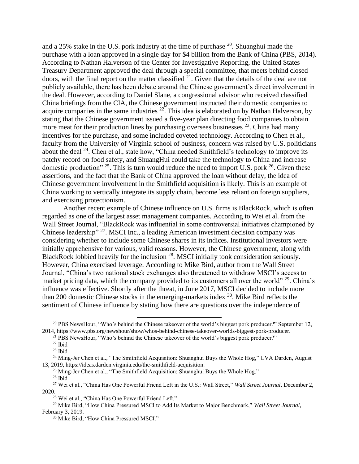and a 25% stake in the U.S. pork industry at the time of purchase <sup>20</sup>. Shuanghui made the purchase with a loan approved in a single day for \$4 billion from the Bank of China (PBS, 2014). According to Nathan Halverson of the Center for Investigative Reporting, the United States Treasury Department approved the deal through a special committee, that meets behind closed doors, with the final report on the matter classified  $2<sup>1</sup>$ . Given that the details of the deal are not publicly available, there has been debate around the Chinese government's direct involvement in the deal. However, according to Daniel Slane, a congressional advisor who received classified China briefings from the CIA, the Chinese government instructed their domestic companies to acquire companies in the same industries  $22$ . This idea is elaborated on by Nathan Halverson, by stating that the Chinese government issued a five-year plan directing food companies to obtain more meat for their production lines by purchasing oversees businesses  $^{23}$ . China had many incentives for the purchase, and some included coveted technology. According to Chen et al., faculty from the University of Virginia school of business, concern was raised by U.S. politicians about the deal  $24$ . Chen et al., state how, "China needed Smithfield's technology to improve its patchy record on food safety, and ShuangHui could take the technology to China and increase domestic production"  $2^5$ . This is turn would reduce the need to import U.S. pork  $2^6$ . Given these assertions, and the fact that the Bank of China approved the loan without delay, the idea of Chinese government involvement in the Smithfield acquisition is likely. This is an example of China working to vertically integrate its supply chain, become less reliant on foreign suppliers, and exercising protectionism.

Another recent example of Chinese influence on U.S. firms is BlackRock, which is often regarded as one of the largest asset management companies. According to Wei et al. from the Wall Street Journal, "BlackRock was influential in some controversial initiatives championed by Chinese leadership" <sup>27</sup>. MSCI Inc., a leading American investment decision company was considering whether to include some Chinese shares in its indices. Institutional investors were initially apprehensive for various, valid reasons. However, the Chinese government, along with BlackRock lobbied heavily for the inclusion <sup>28</sup>. MSCI initially took consideration seriously. However, China exercised leverage. According to Mike Bird, author from the Wall Street Journal, "China's two national stock exchanges also threatened to withdraw MSCI's access to market pricing data, which the company provided to its customers all over the world" <sup>29</sup>. China's influence was effective. Shortly after the threat, in June 2017, MSCI decided to include more than 200 domestic Chinese stocks in the emerging-markets index <sup>30</sup>. Mike Bird reflects the sentiment of Chinese influence by stating how there are questions over the independence of

 $20$  PBS NewsHour, "Who's behind the Chinese takeover of the world's biggest pork producer?" September 12, 2014, https://www.pbs.org/newshour/show/whos-behind-chinese-takeover-worlds-biggest-pork-producer.

<sup>&</sup>lt;sup>21</sup> PBS NewsHour, "Who's behind the Chinese takeover of the world's biggest pork producer?"

<sup>22</sup> Ibid

 $^{23}$  Ibid

<sup>&</sup>lt;sup>24</sup> Ming-Jer Chen et al., "The Smithfield Acquisition: Shuanghui Buys the Whole Hog," UVA Darden, August 13, 2019, https://ideas.darden.virginia.edu/the-smithfield-acquisition.

<sup>&</sup>lt;sup>25</sup> Ming-Jer Chen et al., "The Smithfield Acquisition: Shuanghui Buys the Whole Hog."

 $26$  Ibid

<sup>27</sup> Wei et al., "China Has One Powerful Friend Left in the U.S.: Wall Street," *Wall Street Journal*, December 2, 2020.

<sup>28</sup> Wei et al., "China Has One Powerful Friend Left."

<sup>29</sup> Mike Bird, "How China Pressured MSCI to Add Its Market to Major Benchmark," *Wall Street Journal*, February 3, 2019.

<sup>30</sup> Mike Bird, "How China Pressured MSCI."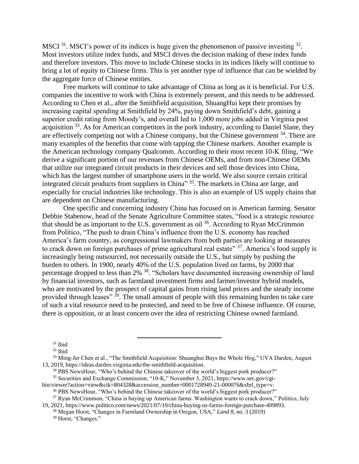MSCI<sup>31</sup>. MSCI's power of its indices is huge given the phenomenon of passive investing  $32$ . Most investors utilize index funds, and MSCI drives the decision making of these index funds and therefore investors. This move to include Chinese stocks in its indices likely will continue to bring a lot of equity to Chinese firms. This is yet another type of influence that can be wielded by the aggregate force of Chinese entities.

Free markets will continue to take advantage of China as long as it is beneficial. For U.S. companies the incentive to work with China is extremely present, and this needs to be addressed. According to Chen et al., after the Smithfield acquisition, ShuangHui kept their promises by increasing capital spending at Smithfield by 24%, paying down Smithfield's debt, gaining a superior credit rating from Moody's, and overall led to 1,000 more jobs added in Virginia post acquisition <sup>33</sup>. As for American competitors in the pork industry, according to Daniel Slane, they are effectively competing not with a Chinese company, but the Chinese government  $34$ . There are many examples of the benefits that come with tapping the Chinese markets. Another example is the American technology company Qualcomm. According to their most recent 10-K filing, "We derive a significant portion of our revenues from Chinese OEMs, and from non-Chinese OEMs that utilize our integrated circuit products in their devices and sell those devices into China, which has the largest number of smartphone users in the world. We also source certain critical integrated circuit products from suppliers in China" 35. The markets in China are large, and especially for crucial industries like technology. This is also an example of US supply chains that are dependent on Chinese manufacturing.

One specific and concerning industry China has focused on is American farming. Senator Debbie Stabenow, head of the Senate Agriculture Committee states, "food is a strategic resource that should be as important to the U.S. government as oil  $36$ . According to Ryan McCrimmon from Politico, "The push to drain China's influence from the U.S. economy has reached America's farm country, as congressional lawmakers from both parties are looking at measures to crack down on foreign purchases of prime agricultural real estate" 37. America's food supply is increasingly being outsourced, not necessarily outside the U.S., but simply by pushing the burden to others. In 1900, nearly 40% of the U.S. population lived on farms, by 2000 that percentage dropped to less than 2% <sup>38</sup>. "Scholars have documented increasing ownership of land by financial investors, such as farmland investment firms and farmer/investor hybrid models, who are motivated by the prospect of capital gains from rising land prices and the steady income provided through leases" <sup>39</sup>. The small amount of people with this remaining burden to take care of such a vital resource need to be protected, and need to be free of Chinese influence. Of course, there is opposition, or at least concern over the idea of restricting Chinese owned farmland.

<sup>34</sup> PBS NewsHour, "Who's behind the Chinese takeover of the world's biggest pork producer?" <sup>35</sup> Securities and Exchange Commission, "10-K," November 3, 2021, https://www.sec.gov/cgi-

bin/viewer?action=view&cik=804328&accession\_number=0001728949-21-000076&xbrl\_type=v. <sup>36</sup> PBS NewsHour, "Who's behind the Chinese takeover of the world's biggest pork producer?"

<sup>37</sup> Ryan McCrimmon, "China is buying up American farms. Washington wants to crack down," Politico, July

19, 2021, https://www.politico.com/news/2021/07/19/china-buying-us-farms-foreign-purchase-499893.

<sup>31</sup> Ibid

<sup>32</sup> Ibid

<sup>&</sup>lt;sup>33</sup> Ming-Jer Chen et al., "The Smithfield Acquisition: Shuanghui Buys the Whole Hog," UVA Darden, August 13, 2019, https://ideas.darden.virginia.edu/the-smithfield-acquisition.

<sup>38</sup> Megan Horst, "Changes in Farmland Ownership in Oregon, USA," *Land 8*, no. 3 (2019)

<sup>39</sup> Horst, "Changes."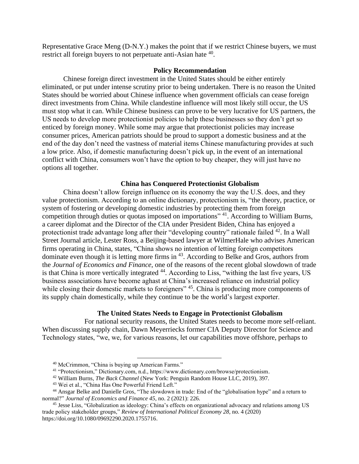Representative Grace Meng (D-N.Y.) makes the point that if we restrict Chinese buyers, we must restrict all foreign buyers to not perpetuate anti-Asian hate  $40$ .

## **Policy Recommendation**

Chinese foreign direct investment in the United States should be either entirely eliminated, or put under intense scrutiny prior to being undertaken. There is no reason the United States should be worried about Chinese influence when government officials can cease foreign direct investments from China. While clandestine influence will most likely still occur, the US must stop what it can. While Chinese business can prove to be very lucrative for US partners, the US needs to develop more protectionist policies to help these businesses so they don't get so enticed by foreign money. While some may argue that protectionist policies may increase consumer prices, American patriots should be proud to support a domestic business and at the end of the day don't need the vastness of material items Chinese manufacturing provides at such a low price. Also, if domestic manufacturing doesn't pick up, in the event of an international conflict with China, consumers won't have the option to buy cheaper, they will just have no options all together.

## **China has Conquered Protectionist Globalism**

China doesn't allow foreign influence on its economy the way the U.S. does, and they value protectionism. According to an online dictionary, protectionism is, "the theory, practice, or system of fostering or developing domestic industries by protecting them from foreign competition through duties or quotas imposed on importations"<sup>41</sup>. According to William Burns, a career diplomat and the Director of the CIA under President Biden, China has enjoyed a protectionist trade advantage long after their "developing country" rationale failed <sup>42</sup>. In a Wall Street Journal article, Lester Ross, a Beijing-based lawyer at WilmerHale who advises American firms operating in China, states, "China shows no intention of letting foreign competitors dominate even though it is letting more firms in <sup>43</sup>. According to Belke and Gros, authors from the *Journal of Economics and Finance*, one of the reasons of the recent global slowdown of trade is that China is more vertically integrated <sup>44</sup>. According to Liss, "withing the last five years, US business associations have become aghast at China's increased reliance on industrial policy while closing their domestic markets to foreigners" <sup>45</sup>. China is producing more components of its supply chain domestically, while they continue to be the world's largest exporter.

# **The United States Needs to Engage in Protectionist Globalism**

For national security reasons, the United States needs to become more self-reliant. When discussing supply chain, Dawn Meyerriecks former CIA Deputy Director for Science and Technology states, "we, we, for various reasons, let our capabilities move offshore, perhaps to

<sup>40</sup> McCrimmon, "China is buying up American Farms."

<sup>41</sup> "Protectionism," Dictionary.com, n.d., https://www.dictionary.com/browse/protectionism.

<sup>42</sup> William Burns, *The Back Channel* (New York: Penguin Random House LLC, 2019), 397.

<sup>43</sup> Wei et al., "China Has One Powerful Friend Left."

<sup>44</sup> Ansgar Belke and Danielle Gros, "The slowdown in trade: End of the "globalisation hype" and a return to normal?" *Journal of Economics and Finance 45*, no. 2 (2021): 226.

<sup>45</sup> Jesse Liss, "Globalization as ideology: China's effects on organizational advocacy and relations among US trade policy stakeholder groups," *Review of International Political Economy 28*, no. 4 (2020) [https://doi.org/10.1080/09692290.2020.1755716.](https://doi.org/10.1080/09692290.2020.1755716)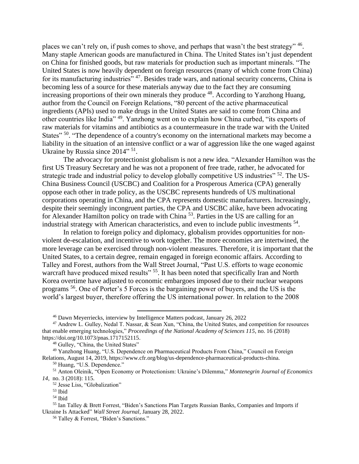places we can't rely on, if push comes to shove, and perhaps that wasn't the best strategy" <sup>46</sup>. Many staple American goods are manufactured in China. The United States isn't just dependent on China for finished goods, but raw materials for production such as important minerals. "The United States is now heavily dependent on foreign resources (many of which come from China) for its manufacturing industries<sup>", 47</sup>. Besides trade wars, and national security concerns, China is becoming less of a source for these materials anyway due to the fact they are consuming increasing proportions of their own minerals they produce  $48$ . According to Yanzhong Huang, author from the Council on Foreign Relations, "80 percent of the active pharmaceutical ingredients (APIs) used to make drugs in the United States are said to come from China and other countries like India" <sup>49</sup>. Yanzhong went on to explain how China curbed, "its exports of raw materials for vitamins and antibiotics as a countermeasure in the trade war with the United States"<sup>50</sup>. "The dependence of a country's economy on the international markets may become a liability in the situation of an intensive conflict or a war of aggression like the one waged against Ukraine by Russia since 2014" <sup>51</sup>.

The advocacy for protectionist globalism is not a new idea. "Alexander Hamilton was the first US Treasury Secretary and he was not a proponent of free trade, rather, he advocated for strategic trade and industrial policy to develop globally competitive US industries" <sup>52</sup>. The US-China Business Council (USCBC) and Coalition for a Prosperous America (CPA) generally oppose each other in trade policy, as the USCBC represents hundreds of US multinational corporations operating in China, and the CPA represents domestic manufacturers. Increasingly, despite their seemingly incongruent parties, the CPA and USCBC alike, have been advocating for Alexander Hamilton policy on trade with China <sup>53</sup>. Parties in the US are calling for an industrial strategy with American characteristics, and even to include public investments <sup>54</sup>.

In relation to foreign policy and diplomacy, globalism provides opportunities for nonviolent de-escalation, and incentive to work together. The more economies are intertwined, the more leverage can be exercised through non-violent measures. Therefore, it is important that the United States, to a certain degree, remain engaged in foreign economic affairs. According to Talley and Forest, authors from the Wall Street Journal, "Past U.S. efforts to wage economic warcraft have produced mixed results" <sup>55</sup>. It has been noted that specifically Iran and North Korea overtime have adjusted to economic embargoes imposed due to their nuclear weapons programs <sup>56</sup>. One of Porter's 5 Forces is the bargaining power of buyers, and the US is the world's largest buyer, therefore offering the US international power. In relation to the 2008

<sup>48</sup> Gulley, "China, the United States"

<sup>49</sup> Yanzhong Huang, "U.S. Dependence on Pharmaceutical Products From China," Council on Foreign Relations, August 14, 2019, https://www.cfr.org/blog/us-dependence-pharmaceutical-products-china.

<sup>50</sup> Huang, "U.S. Dependence."

<sup>51</sup> Anton Oleinik, "Open Economy or Protectionism: Ukraine's Dilemma," *Montenegrin Journal of Economics 14*, no. 3 (2018): 115.

<sup>52</sup> Jesse Liss, "Globalization"

<sup>53</sup> Ibid

<sup>54</sup> Ibid

<sup>46</sup> Dawn Meyerriecks, interview by Intelligence Matters podcast, January 26, 2022

<sup>47</sup> Andrew L. Gulley, Nedal T. Nassar, & Sean Xun, "China, the United States, and competition for resources that enable emerging technologies," *Proceedings of the National Academy of Sciences 115*, no. 16 (2018) [https://doi.org/10.1073/pnas.1717152115.](https://doi.org/10.1073/pnas.1717152115)

<sup>55</sup> Ian Talley & Brett Forrest, "Biden's Sanctions Plan Targets Russian Banks, Companies and Imports if Ukraine Is Attacked" *Wall Street Journal*, January 28, 2022.

<sup>56</sup> Talley & Forrest, "Biden's Sanctions."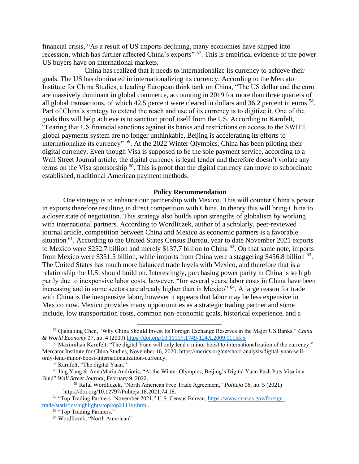financial crisis, "As a result of US imports declining, many economies have slipped into recession, which has further affected China's exports" <sup>57</sup>. This is empirical evidence of the power US buyers have on international markets.

China has realized that it needs to internationalize its currency to achieve their goals. The US has dominated in internationalizing its currency. According to the Mercator Institute for China Studies, a leading European think tank on China, "The US dollar and the euro are massively dominant in global commerce, accounting in 2019 for more than three quarters of all global transactions, of which 42.5 percent were cleared in dollars and 36.2 percent in euros <sup>58</sup>. Part of China's strategy to extend the reach and use of its currency is to digitize it. One of the goals this will help achieve is to sanction proof itself from the US. According to Karnfelt, "Fearing that US financial sanctions against its banks and restrictions on access to the SWIFT global payments system are no longer unthinkable, Beijing is accelerating its efforts to internationalize its currency" <sup>59</sup>. At the 2022 Winter Olympics, China has been piloting their digital currency. Even though Visa is supposed to be the sole payment service, according to a Wall Street Journal article, the digital currency is legal tender and therefore doesn't violate any terms on the Visa sponsorship  $^{60}$ . This is proof that the digital currency can move to subordinate established, traditional American payment methods.

## **Policy Recommendation**

One strategy is to enhance our partnership with Mexico. This will counter China's power in exports therefore resulting in direct competition with China. In theory this will bring China to a closer state of negotiation. This strategy also builds upon strengths of globalism by working with international partners. According to Wordliczek, author of a scholarly, peer-reviewed journal article, competition between China and Mexico as economic partners is a favorable situation <sup>61</sup>. According to the United States Census Bureau, year to date November 2021 exports to Mexico were \$252.7 billion and merely \$137.7 billion to China  $^{62}$ . On that same note, imports from Mexico were \$351.5 billion, while imports from China were a staggering \$456.8 billion  $^{63}$ . The United States has much more balanced trade levels with Mexico, and therefore that is a relationship the U.S. should build on. Interestingly, purchasing power parity in China is so high partly due to inexpensive labor costs, however, "for several years, labor costs in China have been increasing and in some sectors are already higher than in Mexico" <sup>64</sup>. A large reason for trade with China is the inexpensive labor, however it appears that labor may be less expensive in Mexico now. Mexico provides many opportunities as a strategic trading partner and some include, low transportation costs, common non-economic goals, historical experience, and a

<sup>57</sup> Qiangbing Chen, "Why China Should Invest Its Foreign Exchange Reserves in the Major US Banks," *China & World Economy 17*, no. 4 (2009)<https://doi.org/10.1111/j.1749-124X.2009.01155.x>

<sup>&</sup>lt;sup>58</sup> Maximilian Karnfelt, "The digital Yuan will only lend a minor boost to internationalization of the currency," Mercator Institute for China Studies, November 16, 2020, https://merics.org/en/short-analysis/digital-yuan-willonly-lend-minor-boost-internationalization-currency.

<sup>59</sup> Karnfelt, "The digital Yuan."

<sup>60</sup> Jing Yang & AnnaMaria Andriotis, "At the Winter Olympics, Beijing's Digital Yuan Push Puts Visa in a Bind" *Wall Street Journal*, February 9, 2022.

<sup>61</sup> Rafal Wordliczek, "North American Free Trade Agreement," *Politeja 18*, no. 5 (2021) [https://doi.org/10.12797/Politeja.18.2021.74.18.](https://doi.org/10.12797/Politeja.18.2021.74.18)

<sup>&</sup>lt;sup>62</sup> "Top Trading Partners -November 2021," U.S. Census Bureau, [https://www.census.gov/foreign](https://www.census.gov/foreign-trade/statistics/highlights/top/top2111yr.html)[trade/statistics/highlights/top/top2111yr.html.](https://www.census.gov/foreign-trade/statistics/highlights/top/top2111yr.html) 

<sup>63</sup> "Top Trading Partners."

<sup>64</sup> Wordliczek, "North American"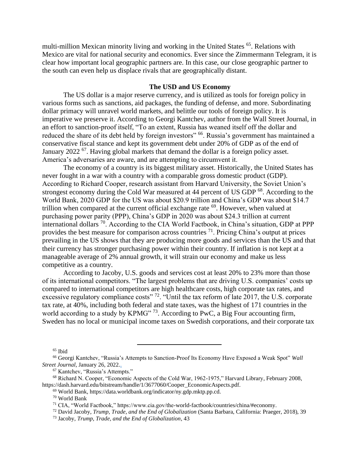multi-million Mexican minority living and working in the United States <sup>65</sup>. Relations with Mexico are vital for national security and economics. Ever since the Zimmermann Telegram, it is clear how important local geographic partners are. In this case, our close geographic partner to the south can even help us displace rivals that are geographically distant.

## **The USD and US Economy**

The US dollar is a major reserve currency, and is utilized as tools for foreign policy in various forms such as sanctions, aid packages, the funding of defense, and more. Subordinating dollar primacy will unravel world markets, and belittle our tools of foreign policy. It is imperative we preserve it. According to Georgi Kantchev, author from the Wall Street Journal, in an effort to sanction-proof itself, "To an extent, Russia has weaned itself off the dollar and reduced the share of its debt held by foreign investors" <sup>66</sup>. Russia's government has maintained a conservative fiscal stance and kept its government debt under 20% of GDP as of the end of January 2022<sup>67</sup>. Having global markets that demand the dollar is a foreign policy asset. America's adversaries are aware, and are attempting to circumvent it.

The economy of a country is its biggest military asset. Historically, the United States has never fought in a war with a country with a comparable gross domestic product (GDP). According to Richard Cooper, research assistant from Harvard University, the Soviet Union's strongest economy during the Cold War measured at 44 percent of US GDP <sup>68</sup>. According to the World Bank, 2020 GDP for the US was about \$20.9 trillion and China's GDP was about \$14.7 trillion when compared at the current official exchange rate  $^{69}$ . However, when valued at purchasing power parity (PPP), China's GDP in 2020 was about \$24.3 trillion at current international dollars  $^{70}$ . According to the CIA World Factbook, in China's situation, GDP at PPP provides the best measure for comparison across countries  $^{71}$ . Pricing China's output at prices prevailing in the US shows that they are producing more goods and services than the US and that their currency has stronger purchasing power within their country. If inflation is not kept at a manageable average of 2% annual growth, it will strain our economy and make us less competitive as a country.

According to Jacoby, U.S. goods and services cost at least 20% to 23% more than those of its international competitors. "The largest problems that are driving U.S. companies' costs up compared to international competitors are high healthcare costs, high corporate tax rates, and excessive regulatory compliance costs" <sup>72</sup>. "Until the tax reform of late 2017, the U.S. corporate tax rate, at 40%, including both federal and state taxes, was the highest of 171 countries in the world according to a study by KPMG" <sup>73</sup>. According to PwC, a Big Four accounting firm, Sweden has no local or municipal income taxes on Swedish corporations, and their corporate tax

<sup>65</sup> Ibid

<sup>66</sup> Georgi Kantchev, "Russia's Attempts to Sanction-Proof Its Economy Have Exposed a Weak Spot" *Wall Street Journal*, January 26, 2022..

<sup>67</sup> Kantchev, "Russia's Attempts."

<sup>68</sup> Richard N. Cooper, "Economic Aspects of the Cold War, 1962-1975," Harvard Library, February 2008, https://dash.harvard.edu/bitstream/handle/1/3677060/Cooper\_EconomicAspects.pdf.

<sup>69</sup> World Bank, https://data.worldbank.org/indicator/ny.gdp.mktp.pp.cd.

<sup>70</sup> World Bank

<sup>71</sup> CIA, "World Factbook," https://www.cia.gov/the-world-factbook/countries/china/#economy.

<sup>72</sup> David Jacoby, *Trump, Trade, and the End of Globalization* (Santa Barbara, California: Praeger, 2018), 39

<sup>73</sup> Jacoby, *Trump, Trade, and the End of Globalization*, 43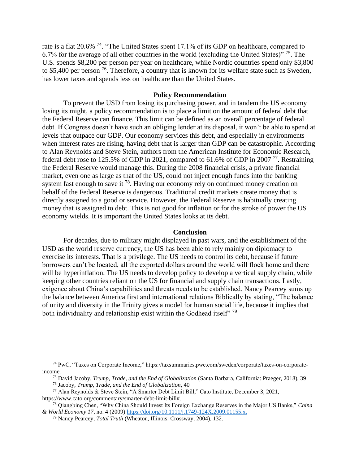rate is a flat 20.6% <sup>74</sup>. "The United States spent 17.1% of its GDP on healthcare, compared to 6.7% for the average of all other countries in the world (excluding the United States)<sup> $\frac{1}{2}$ </sup>. The U.S. spends \$8,200 per person per year on healthcare, while Nordic countries spend only \$3,800 to \$5,400 per person  $^{76}$ . Therefore, a country that is known for its welfare state such as Sweden, has lower taxes and spends less on healthcare than the United States.

## **Policy Recommendation**

To prevent the USD from losing its purchasing power, and in tandem the US economy losing its might, a policy recommendation is to place a limit on the amount of federal debt that the Federal Reserve can finance. This limit can be defined as an overall percentage of federal debt. If Congress doesn't have such an obliging lender at its disposal, it won't be able to spend at levels that outpace our GDP. Our economy services this debt, and especially in environments when interest rates are rising, having debt that is larger than GDP can be catastrophic. According to Alan Reynolds and Steve Stein, authors from the American Institute for Economic Research, federal debt rose to 125.5% of GDP in 2021, compared to 61.6% of GDP in 2007<sup>77</sup>. Restraining the Federal Reserve would manage this. During the 2008 financial crisis, a private financial market, even one as large as that of the US, could not inject enough funds into the banking system fast enough to save it  $^{78}$ . Having our economy rely on continued money creation on behalf of the Federal Reserve is dangerous. Traditional credit markets create money that is directly assigned to a good or service. However, the Federal Reserve is habitually creating money that is assigned to debt. This is not good for inflation or for the stroke of power the US economy wields. It is important the United States looks at its debt.

# **Conclusion**

For decades, due to military might displayed in past wars, and the establishment of the USD as the world reserve currency, the US has been able to rely mainly on diplomacy to exercise its interests. That is a privilege. The US needs to control its debt, because if future borrowers can't be located, all the exported dollars around the world will flock home and there will be hyperinflation. The US needs to develop policy to develop a vertical supply chain, while keeping other countries reliant on the US for financial and supply chain transactions. Lastly, exigence about China's capabilities and threats needs to be established. Nancy Pearcey sums up the balance between America first and international relations Biblically by stating, "The balance of unity and diversity in the Trinity gives a model for human social life, because it implies that both individuality and relationship exist within the Godhead itself"  $^{79}$ 

<sup>74</sup> PwC, "Taxes on Corporate Income," https://taxsummaries.pwc.com/sweden/corporate/taxes-on-corporateincome.

<sup>75</sup> David Jacoby, *Trump, Trade, and the End of Globalization* (Santa Barbara, California: Praeger, 2018), 39

<sup>76</sup> Jacoby, *Trump, Trade, and the End of Globalization*, 40

<sup>77</sup> Alan Reynolds & Steve Stein, "A Smarter Debt Limit Bill," Cato Institute, December 3, 2021, https://www.cato.org/commentary/smarter-debt-limit-bill#.

<sup>78</sup> Qiangbing Chen, "Why China Should Invest Its Foreign Exchange Reserves in the Major US Banks," *China & World Economy 17*, no. 4 (2009) [https://doi.org/10.1111/j.1749-124X.2009.01155.x.](https://doi.org/10.1111/j.1749-124X.2009.01155.x)

<sup>79</sup> Nancy Pearcey, *Total Truth* (Wheaton, Illinois: Crossway, 2004), 132.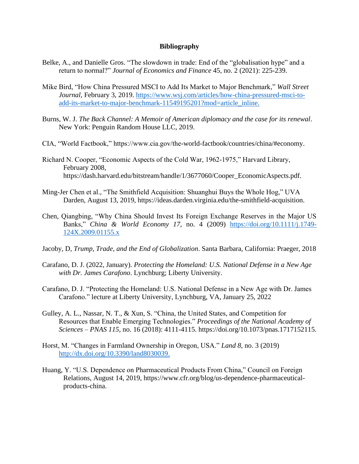# **Bibliography**

- Belke, A., and Danielle Gros. "The slowdown in trade: End of the "globalisation hype" and a return to normal?" *Journal of Economics and Finance* 45, no. 2 (2021): 225-239.
- Mike Bird, "How China Pressured MSCI to Add Its Market to Major Benchmark," *Wall Street Journal*, February 3, 2019. [https://www.wsj.com/articles/how-china-pressured-msci-to](https://www.wsj.com/articles/how-china-pressured-msci-to-add-its-market-to-major-benchmark-11549195201?mod=article_inline)[add-its-market-to-major-benchmark-11549195201?mod=article\\_inline.](https://www.wsj.com/articles/how-china-pressured-msci-to-add-its-market-to-major-benchmark-11549195201?mod=article_inline)
- Burns, W. J. *The Back Channel: A Memoir of American diplomacy and the case for its renewal*. New York: Penguin Random House LLC, 2019.
- CIA, "World Factbook," https://www.cia.gov/the-world-factbook/countries/china/#economy.
- Richard N. Cooper, "Economic Aspects of the Cold War, 1962-1975," Harvard Library, February 2008, https://dash.harvard.edu/bitstream/handle/1/3677060/Cooper\_EconomicAspects.pdf.
- Ming-Jer Chen et al., "The Smithfield Acquisition: Shuanghui Buys the Whole Hog," UVA Darden, August 13, 2019, https://ideas.darden.virginia.edu/the-smithfield-acquisition.
- Chen, Qiangbing, "Why China Should Invest Its Foreign Exchange Reserves in the Major US Banks," *China & World Economy 17*, no. 4 (2009) [https://doi.org/10.1111/j.1749-](https://doi.org/10.1111/j.1749-124X.2009.01155.x) [124X.2009.01155.x](https://doi.org/10.1111/j.1749-124X.2009.01155.x)
- Jacoby, D, *Trump, Trade, and the End of Globalization*. Santa Barbara, California: Praeger, 2018
- Carafano, D. J. (2022, January). *Protecting the Homeland: U.S. National Defense in a New Age with Dr. James Carafono*. Lynchburg; Liberty University.
- Carafano, D. J. "Protecting the Homeland: U.S. National Defense in a New Age with Dr. James Carafono." lecture at Liberty University, Lynchburg, VA, January 25, 2022
- Gulley, A. L., Nassar, N. T., & Xun, S. "China, the United States, and Competition for Resources that Enable Emerging Technologies." *Proceedings of the National Academy of Sciences – PNAS 115*, no. 16 (2018): 4111-4115. [https://doi.org/10.1073/pnas.1717152115.](https://doi.org/10.1073/pnas.1717152115)
- Horst, M. "Changes in Farmland Ownership in Oregon, USA." *Land 8*, no. 3 (2019) [http://dx.doi.org/10.3390/land8030039.](http://dx.doi.org/10.3390/land8030039)
- Huang, Y. "U.S. Dependence on Pharmaceutical Products From China," Council on Foreign Relations, August 14, 2019, https://www.cfr.org/blog/us-dependence-pharmaceuticalproducts-china.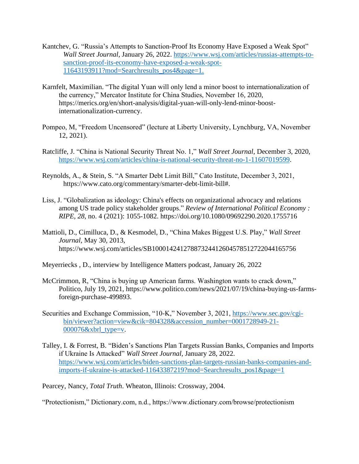- Kantchev, G. "Russia's Attempts to Sanction-Proof Its Economy Have Exposed a Weak Spot" *Wall Street Journal*, January 26, 2022. [https://www.wsj.com/articles/russias-attempts-to](https://www.wsj.com/articles/russias-attempts-to-sanction-proof-its-economy-have-exposed-a-weak-spot-11643193911?mod=Searchresults_pos4&page=1)[sanction-proof-its-economy-have-exposed-a-weak-spot-](https://www.wsj.com/articles/russias-attempts-to-sanction-proof-its-economy-have-exposed-a-weak-spot-11643193911?mod=Searchresults_pos4&page=1)[11643193911?mod=Searchresults\\_pos4&page=1.](https://www.wsj.com/articles/russias-attempts-to-sanction-proof-its-economy-have-exposed-a-weak-spot-11643193911?mod=Searchresults_pos4&page=1)
- Karnfelt, Maximilian. "The digital Yuan will only lend a minor boost to internationalization of the currency," Mercator Institute for China Studies, November 16, 2020, https://merics.org/en/short-analysis/digital-yuan-will-only-lend-minor-boostinternationalization-currency.
- Pompeo, M, "Freedom Uncensored" (lecture at Liberty University, Lynchburg, VA, November 12, 2021).
- Ratcliffe, J. "China is National Security Threat No. 1," *Wall Street Journal*, December 3, 2020, [https://www.wsj.com/articles/china-is-national-security-threat-no-1-11607019599.](https://www.wsj.com/articles/china-is-national-security-threat-no-1-11607019599)
- Reynolds, A., & Stein, S. "A Smarter Debt Limit Bill," Cato Institute, December 3, 2021, https://www.cato.org/commentary/smarter-debt-limit-bill#.
- Liss, J. "Globalization as ideology: China's effects on organizational advocacy and relations among US trade policy stakeholder groups." *Review of International Political Economy : RIPE, 28*, no. 4 (2021): 1055-1082.<https://doi.org/10.1080/09692290.2020.1755716>
- Mattioli, D., Cimilluca, D., & Kesmodel, D., "China Makes Biggest U.S. Play," *Wall Street Journal*, May 30, 2013, https://www.wsj.com/articles/SB10001424127887324412604578512722044165756
- Meyerriecks , D., interview by Intelligence Matters podcast, January 26, 2022
- McCrimmon, R, "China is buying up American farms. Washington wants to crack down," Politico, July 19, 2021, https://www.politico.com/news/2021/07/19/china-buying-us-farmsforeign-purchase-499893.
- Securities and Exchange Commission, "10-K," November 3, 2021, [https://www.sec.gov/cgi](https://www.sec.gov/cgi-bin/viewer?action=view&cik=804328&accession_number=0001728949-21-000076&xbrl_type=v)[bin/viewer?action=view&cik=804328&accession\\_number=0001728949-21-](https://www.sec.gov/cgi-bin/viewer?action=view&cik=804328&accession_number=0001728949-21-000076&xbrl_type=v) [000076&xbrl\\_type=v.](https://www.sec.gov/cgi-bin/viewer?action=view&cik=804328&accession_number=0001728949-21-000076&xbrl_type=v)
- Talley, I. & Forrest, B. "Biden's Sanctions Plan Targets Russian Banks, Companies and Imports if Ukraine Is Attacked" *Wall Street Journal*, January 28, 2022. [https://www.wsj.com/articles/biden-sanctions-plan-targets-russian-banks-companies-and](https://www.wsj.com/articles/biden-sanctions-plan-targets-russian-banks-companies-and-imports-if-ukraine-is-attacked-11643387219?mod=Searchresults_pos1&page=1)[imports-if-ukraine-is-attacked-11643387219?mod=Searchresults\\_pos1&page=1](https://www.wsj.com/articles/biden-sanctions-plan-targets-russian-banks-companies-and-imports-if-ukraine-is-attacked-11643387219?mod=Searchresults_pos1&page=1)

Pearcey, Nancy, *Total Truth*. Wheaton, Illinois: Crossway, 2004.

"Protectionism," Dictionary.com, n.d., https://www.dictionary.com/browse/protectionism